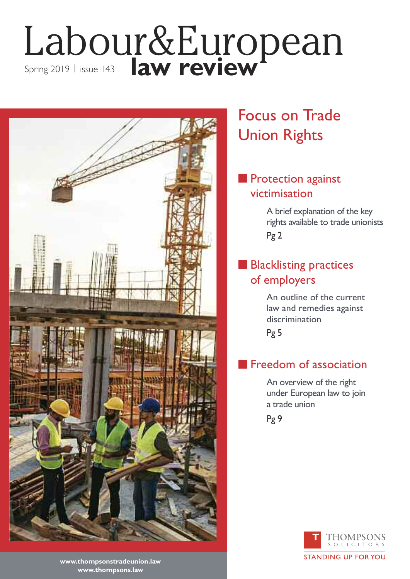## Labour&European Spring 2019 | issue 143 **| aw review**



## Focus on Trade Union Rights

### **n** Protection against victimisation

A brief explanation of the key rights available to trade unionists Pg 2

### **n Blacklisting practices** of employers

An outline of the current law and remedies against discrimination

Pg 5

### **Freedom of association**

An overview of the right under European law to join a trade union

Pg 9



**www.thompsonstradeunion.law www.thompsons.law**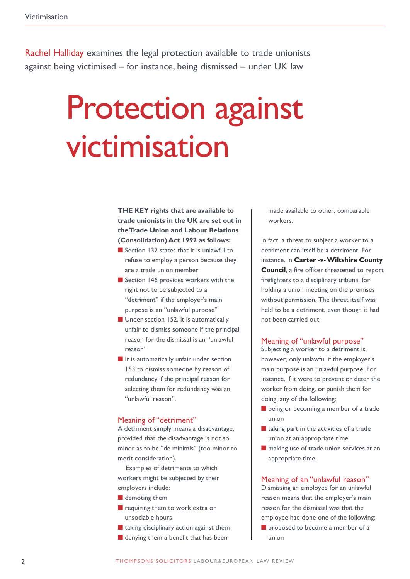Rachel Halliday examines the legal protection available to trade unionists against being victimised – for instance, being dismissed – under UK law

## Protection against victimisation

**THE KEY rights that are available to trade unionists in the UK are set out in theTrade Union and Labour Relations (Consolidation) Act 1992 as follows:**

- $\blacksquare$  Section 137 states that it is unlawful to refuse to employ a person because they are a trade union member
- $\blacksquare$  Section 146 provides workers with the right not to be subjected to a "detriment" if the employer's main purpose is an "unlawful purpose"
- $\blacksquare$  Under section 152, it is automatically unfair to dismiss someone if the principal reason for the dismissal is an "unlawful reason"
- $\blacksquare$  It is automatically unfair under section 153 to dismiss someone by reason of redundancy if the principal reason for selecting them for redundancy was an "unlawful reason".

#### Meaning of "detriment"

A detriment simply means a disadvantage, provided that the disadvantage is not so minor as to be "de minimis" (too minor to merit consideration).

Examples of detriments to which workers might be subjected by their employers include:

- $\blacksquare$  demoting them
- $\blacksquare$  requiring them to work extra or unsociable hours
- $\blacksquare$  taking disciplinary action against them
- $\blacksquare$  denying them a benefit that has been

made available to other, comparable workers.

In fact, a threat to subject a worker to a detriment can itself be a detriment. For instance, in **Carter -v-Wiltshire County Council**, a fire officer threatened to report firefighters to a disciplinary tribunal for holding a union meeting on the premises without permission. The threat itself was held to be a detriment, even though it had not been carried out.

#### Meaning of "unlawful purpose"

Subjecting a worker to a detriment is, however, only unlawful if the employer's main purpose is an unlawful purpose. For instance, if it were to prevent or deter the worker from doing, or punish them for doing, any of the following:

- $\blacksquare$  being or becoming a member of a trade union
- $\blacksquare$  taking part in the activities of a trade union at an appropriate time
- $\blacksquare$  making use of trade union services at an appropriate time.

#### Meaning of an "unlawful reason"

Dismissing an employee for an unlawful reason means that the employer's main reason for the dismissal was that the employee had done one of the following: **n** proposed to become a member of a union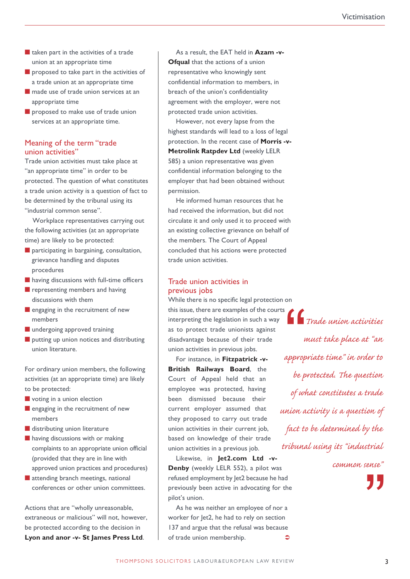- $\blacksquare$  taken part in the activities of a trade union at an appropriate time
- $\blacksquare$  proposed to take part in the activities of a trade union at an appropriate time
- $\blacksquare$  made use of trade union services at an appropriate time
- $\blacksquare$  proposed to make use of trade union services at an appropriate time.

#### Meaning of the term "trade union activities"

Trade union activities must take place at "an appropriate time" in order to be protected. The question of what constitutes a trade union activity is a question of fact to be determined by the tribunal using its "industrial common sense".

Workplace representatives carrying out the following activities (at an appropriate time) are likely to be protected:

- $\blacksquare$  participating in bargaining, consultation, grievance handling and disputes procedures
- $\blacksquare$  having discussions with full-time officers
- $\blacksquare$  representing members and having discussions with them
- $\blacksquare$  engaging in the recruitment of new members
- $\blacksquare$  undergoing approved training
- $\blacksquare$  putting up union notices and distributing union literature.

For ordinary union members, the following activities (at an appropriate time) are likely to be protected:

- $\blacksquare$  voting in a union election
- $\blacksquare$  engaging in the recruitment of new members
- $\blacksquare$  distributing union literature
- $\blacksquare$  having discussions with or making complaints to an appropriate union official (provided that they are in line with approved union practices and procedures)
- $\blacksquare$  attending branch meetings, national conferences or other union committees.

Actions that are "wholly unreasonable, extraneous or malicious" will not, however, be protected according to the decision in **Lyon and anor -v- St James Press Ltd**.

As a result, the EAT held in **Azam -v-Ofqual** that the actions of a union representative who knowingly sent confidential information to members, in breach of the union's confidentiality agreement with the employer, were not protected trade union activities.

However, not every lapse from the highest standards will lead to a loss of legal protection. In the recent case of **Morris -v-Metrolink Ratpdev Ltd** (weekly LELR 585) a union representative was given confidential information belonging to the employer that had been obtained without permission.

He informed human resources that he had received the information, but did not circulate it and only used it to proceed with an existing collective grievance on behalf of the members. The Court of Appeal concluded that his actions were protected trade union activities.

#### Trade union activities in previous jobs

While there is no specific legal protection on this issue, there are examples of the courts interpreting the legislation in such a way as to protect trade unionists against disadvantage because of their trade union activities in previous jobs.

For instance, in **Fitzpatrick -v-British Railways Board**, the Court of Appeal held that an employee was protected, having been dismissed because their current employer assumed that they proposed to carry out trade union activities in their current job, based on knowledge of their trade union activities in a previous job.

Likewise, in **Jet2.com Ltd -v-Denby** (weekly LELR 552), a pilot was refused employment by Jet2 because he had previously been active in advocating for the pilot's union.

As he was neither an employee of nor a worker for let2, he had to rely on section 137 and argue that the refusal was because of trade union membership.  $\triangle$ 

*Trade union activities must take place at "an appropriate time" in order to be protected. The question of what constitutes a trade union activity is a question of fact to be determined by the tribunal using its "industrial*  $\begin{bmatrix} 1 \\ 1 \\ 2 \end{bmatrix}$ 

*common sense"*

**"**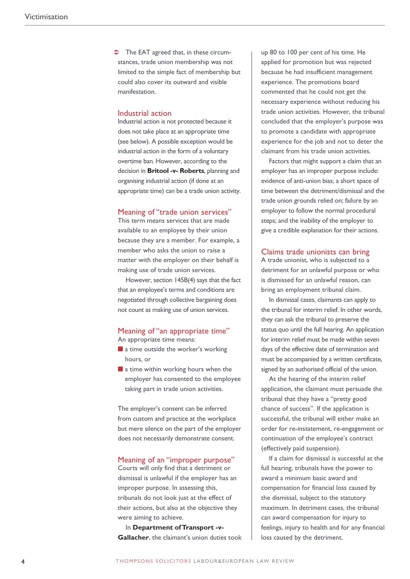The EAT agreed that, in these circumstances, trade union membership was not limited to the simple fact of membership but could also cover its outward and visible manifestation.

#### Industrial action

Industrial action is not protected because it does not take place at an appropriate time (see below). A possible exception would be industrial action in the form of a voluntary overtime ban. However, according to the decision in **Britool -v- Roberts**, planning and organising industrial action (if done at an appropriate time) can be a trade union activity.

#### Meaning of "trade union services"

This term means services that are made available to an employee by their union because they are a member. For example, a member who asks the union to raise a matter with the employer on their behalf is making use of trade union services.

However, section 145B(4) says that the fact that an employee's terms and conditions are negotiated through collective bargaining does not count as making use of union services.

#### Meaning of "an appropriate time"

An appropriate time means:

- $\blacksquare$  a time outside the worker's working hours, or
- $\blacksquare$  a time within working hours when the employer has consented to the employee taking part in trade union activities.

The employer's consent can be inferred from custom and practice at the workplace but mere silence on the part of the employer does not necessarily demonstrate consent.

#### Meaning of an "improper purpose"

Courts will only find that a detriment or dismissal is unlawful if the employer has an improper purpose. In assessing this, tribunals do not look just at the effect of their actions, but also at the objective they were aiming to achieve.

In **Department ofTransport -v-Gallacher**, the claimant's union duties took up 80 to 100 per cent of his time. He applied for promotion but was rejected because he had insufficient management experience. The promotions board commented that he could not get the necessary experience without reducing his trade union activities. However, the tribunal concluded that the employer's purpose was to promote a candidate with appropriate experience for the job and not to deter the claimant from his trade union activities.

Factors that might support a claim that an employer has an improper purpose include: evidence of anti-union bias; a short space of time between the detriment/dismissal and the trade union grounds relied on; failure by an employer to follow the normal procedural steps; and the inability of the employer to give a credible explanation for their actions.

#### Claims trade unionists can bring

A trade unionist, who is subjected to a detriment for an unlawful purpose or who is dismissed for an unlawful reason, can bring an employment tribunal claim.

In dismissal cases, claimants can apply to the tribunal for interim relief. In other words, they can ask the tribunal to preserve the status quo until the full hearing. An application for interim relief must be made within seven days of the effective date of termination and must be accompanied by a written certificate, signed by an authorised official of the union.

At the hearing of the interim relief application, the claimant must persuade the tribunal that they have a "pretty good chance of success". If the application is successful, the tribunal will either make an order for re-instatement, re-engagement or continuation of the employee's contract (effectively paid suspension).

If a claim for dismissal is successful at the full hearing, tribunals have the power to award a minimum basic award and compensation for financial loss caused by the dismissal, subject to the statutory maximum. In detriment cases, the tribunal can award compensation for injury to feelings, injury to health and for any financial loss caused by the detriment.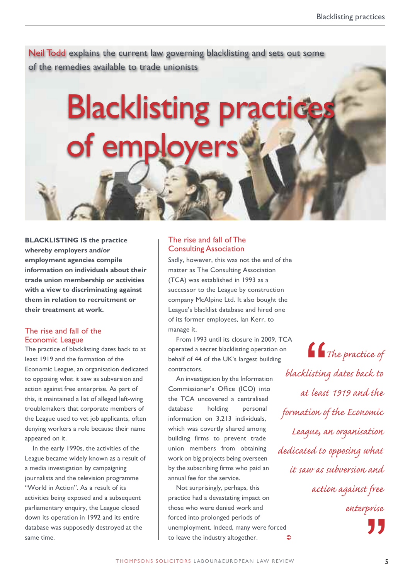Neil Todd explains the current law governing blacklisting and sets out some of the remedies available to trade unionists

# **Blacklisting practice** of employers

**BLACKLISTING IS the practice whereby employers and/or employment agencies compile information on individuals about their trade union membership or activities with a view to discriminating against them in relation to recruitment or their treatment at work.**

#### The rise and fall of the Economic League

The practice of blacklisting dates back to at least 1919 and the formation of the Economic League, an organisation dedicated to opposing what it saw as subversion and action against free enterprise. As part of this, it maintained a list of alleged left-wing troublemakers that corporate members of the League used to vet job applicants, often denying workers a role because their name appeared on it.

In the early 1990s, the activities of the League became widely known as a result of a media investigation by campaigning journalists and the television programme "World in Action". As a result of its activities being exposed and a subsequent parliamentary enquiry, the League closed down its operation in 1992 and its entire database was supposedly destroyed at the same time.

#### The rise and fall of The Consulting Association

Sadly, however, this was not the end of the matter as The Consulting Association (TCA) was established in 1993 as a successor to the League by construction company McAlpine Ltd. It also bought the League's blacklist database and hired one of its former employees, Ian Kerr, to manage it.

From 1993 until its closure in 2009, TCA operated a secret blacklisting operation on behalf of 44 of the UK's largest building contractors.

An investigation by the Information Commissioner's Office (ICO) into the TCA uncovered a centralised database holding personal information on 3,213 individuals, which was covertly shared among building firms to prevent trade union members from obtaining work on big projects being overseen by the subscribing firms who paid an annual fee for the service.

Not surprisingly, perhaps, this practice had a devastating impact on those who were denied work and forced into prolonged periods of unemployment. Indeed, many were forced to leave the industry altogether.

*The practice of blacklisting dates back to at least 1919 and the formation of the Economic League, an organisation dedicated to opposing what it saw as subversion and action against free enterprise* **66**<br>Ilistini<br>t leasi "<br>"<br>"

 $\triangle$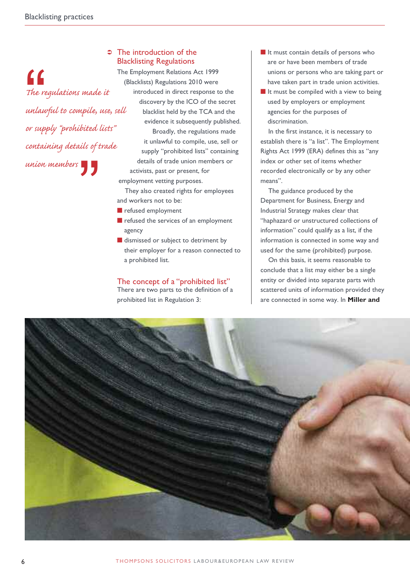*The regulations made it unlawful to compile, use, sell or supply "prohibited lists"* " *containing details of trade union members* "

#### **■** The introduction of the Blacklisting Regulations

The Employment Relations Act 1999 (Blacklists) Regulations 2010 were introduced in direct response to the discovery by the ICO of the secret blacklist held by the TCA and the evidence it subsequently published. Broadly, the regulations made it unlawful to compile, use, sell or supply "prohibited lists" containing details of trade union members or activists, past or present, for employment vetting purposes.

They also created rights for employees and workers not to be:

- $\blacksquare$  refused employment
- $\blacksquare$  refused the services of an employment agency
- **n** dismissed or subject to detriment by their employer for a reason connected to a prohibited list.

#### The concept of a "prohibited list"

There are two parts to the definition of a prohibited list in Regulation 3:

- $\blacksquare$  It must contain details of persons who are or have been members of trade unions or persons who are taking part or have taken part in trade union activities.
- $\blacksquare$  It must be compiled with a view to being used by employers or employment agencies for the purposes of discrimination.

In the first instance, it is necessary to establish there is "a list". The Employment Rights Act 1999 (ERA) defines this as "any index or other set of items whether recorded electronically or by any other means".

The guidance produced by the Department for Business, Energy and Industrial Strategy makes clear that "haphazard or unstructured collections of information" could qualify as a list, if the information is connected in some way and used for the same (prohibited) purpose.

On this basis, it seems reasonable to conclude that a list may either be a single entity or divided into separate parts with scattered units of information provided they are connected in some way. In **Miller and**

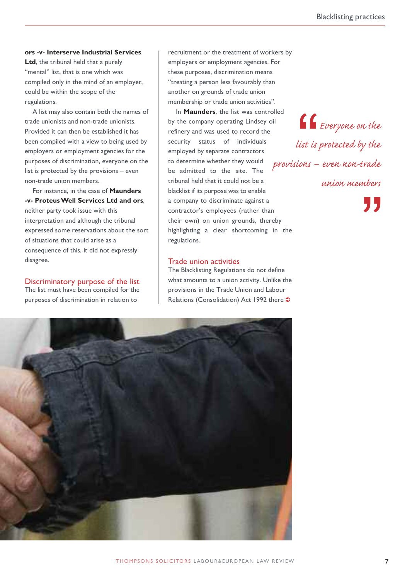#### **ors -v- Interserve Industrial Services**

**Ltd**, the tribunal held that a purely "mental" list, that is one which was compiled only in the mind of an employer, could be within the scope of the regulations.

A list may also contain both the names of trade unionists and non-trade unionists. Provided it can then be established it has been compiled with a view to being used by employers or employment agencies for the purposes of discrimination, everyone on the list is protected by the provisions – even non-trade union members.

For instance, in the case of **Maunders -v- ProteusWell Services Ltd and ors**, neither party took issue with this interpretation and although the tribunal expressed some reservations about the sort of situations that could arise as a consequence of this, it did not expressly disagree.

Discriminatory purpose of the list

The list must have been compiled for the purposes of discrimination in relation to

recruitment or the treatment of workers by employers or employment agencies. For these purposes, discrimination means "treating a person less favourably than another on grounds of trade union membership or trade union activities".

In **Maunders**, the list was controlled by the company operating Lindsey oil refinery and was used to record the security status of individuals employed by separate contractors to determine whether they would be admitted to the site. The tribunal held that it could not be a blacklist if its purpose was to enable a company to discriminate against a contractor's employees (rather than their own) on union grounds, thereby highlighting a clear shortcoming in the regulations.

#### Trade union activities

The Blacklisting Regulations do not define what amounts to a union activity. Unlike the provisions in the Trade Union and Labour Relations (Consolidation) Act 1992 there  $\supset$ 



*Everyone on the list is protected by the provisions – even non-trade union members* **ff**<br>list is<br>ions –

**"**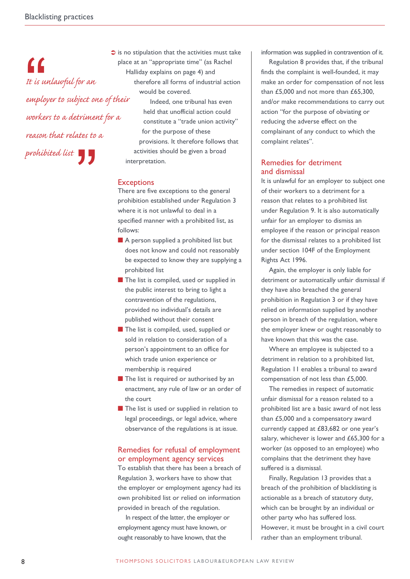*It is unlawful for an employer to subject one of their workers to a detriment for a reason that relates to a* prohibited list<br> **A** "

 $\bullet$  is no stipulation that the activities must take place at an "appropriate time" (as Rachel Halliday explains on page 4) and therefore all forms of industrial action would be covered. Indeed, one tribunal has even held that unofficial action could constitute a "trade union activity" for the purpose of these provisions. It therefore follows that activities should be given a broad interpretation.

#### **Exceptions**

There are five exceptions to the general prohibition established under Regulation 3 where it is not unlawful to deal in a specified manner with a prohibited list, as follows:

- $\blacksquare$  A person supplied a prohibited list but does not know and could not reasonably be expected to know they are supplying a prohibited list
- $\blacksquare$  The list is compiled, used or supplied in the public interest to bring to light a contravention of the regulations, provided no individual's details are published without their consent
- **n** The list is compiled, used, supplied or sold in relation to consideration of a person's appointment to an office for which trade union experience or membership is required
- **n** The list is required or authorised by an enactment, any rule of law or an order of the court
- $\blacksquare$  The list is used or supplied in relation to legal proceedings, or legal advice, where observance of the regulations is at issue.

#### Remedies for refusal of employment or employment agency services

To establish that there has been a breach of Regulation 3, workers have to show that the employer or employment agency had its own prohibited list or relied on information provided in breach of the regulation.

In respect of the latter, the employer or employment agency must have known, or ought reasonably to have known, that the

information was supplied in contravention of it.

Regulation 8 provides that, if the tribunal finds the complaint is well-founded, it may make an order for compensation of not less than £5,000 and not more than £65,300, and/or make recommendations to carry out action "for the purpose of obviating or reducing the adverse effect on the complainant of any conduct to which the complaint relates".

#### Remedies for detriment and dismissal

It is unlawful for an employer to subject one of their workers to a detriment for a reason that relates to a prohibited list under Regulation 9. It is also automatically unfair for an employer to dismiss an employee if the reason or principal reason for the dismissal relates to a prohibited list under section 104F of the Employment Rights Act 1996.

Again, the employer is only liable for detriment or automatically unfair dismissal if they have also breached the general prohibition in Regulation 3 or if they have relied on information supplied by another person in breach of the regulation, where the employer knew or ought reasonably to have known that this was the case.

Where an employee is subjected to a detriment in relation to a prohibited list, Regulation 11 enables a tribunal to award compensation of not less than £5,000.

The remedies in respect of automatic unfair dismissal for a reason related to a prohibited list are a basic award of not less than £5,000 and a compensatory award currently capped at £83,682 or one year's salary, whichever is lower and £65,300 for a worker (as opposed to an employee) who complains that the detriment they have suffered is a dismissal.

Finally, Regulation 13 provides that a breach of the prohibition of blacklisting is actionable as a breach of statutory duty, which can be brought by an individual or other party who has suffered loss. However, it must be brought in a civil court rather than an employment tribunal.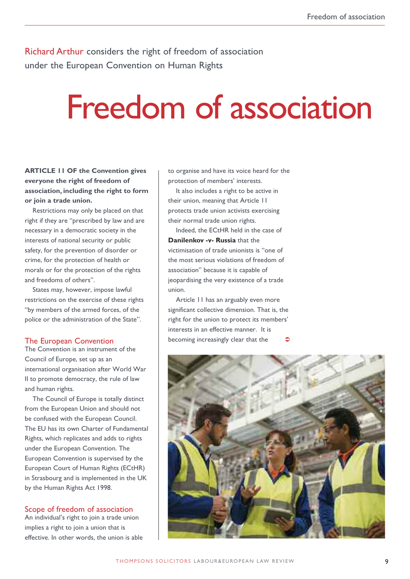Richard Arthur considers the right of freedom of association under the European Convention on Human Rights

## Freedom of association

#### **ARTICLE 11 OF the Convention gives everyone the right of freedom of association, including the right to form or join a trade union.**

Restrictions may only be placed on that right if they are "prescribed by law and are necessary in a democratic society in the interests of national security or public safety, for the prevention of disorder or crime, for the protection of health or morals or for the protection of the rights and freedoms of others".

States may, however, impose lawful restrictions on the exercise of these rights "by members of the armed forces, of the police or the administration of the State".

#### The European Convention

The Convention is an instrument of the Council of Europe, set up as an international organisation after World War II to promote democracy, the rule of law and human rights.

The Council of Europe is totally distinct from the European Union and should not be confused with the European Council. The EU has its own Charter of Fundamental Rights, which replicates and adds to rights under the European Convention. The European Convention is supervised by the European Court of Human Rights (ECtHR) in Strasbourg and is implemented in the UK by the Human Rights Act 1998.

#### Scope of freedom of association

An individual's right to join a trade union implies a right to join a union that is effective. In other words, the union is able to organise and have its voice heard for the protection of members' interests.

It also includes a right to be active in their union, meaning that Article 11 protects trade union activists exercising their normal trade union rights.

Indeed, the ECtHR held in the case of **Danilenkov -v- Russia** that the victimisation of trade unionists is "one of the most serious violations of freedom of association" because it is capable of jeopardising the very existence of a trade union.

Article 11 has an arguably even more significant collective dimension. That is, the right for the union to protect its members' interests in an effective manner. It is becoming increasingly clear that the  $\bullet$ 

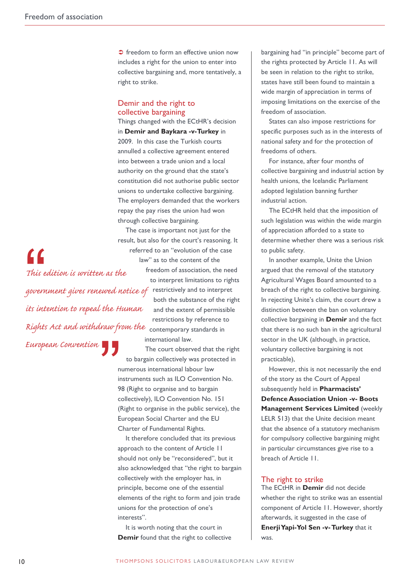• freedom to form an effective union now includes a right for the union to enter into collective bargaining and, more tentatively, a right to strike.

#### Demir and the right to collective bargaining

Things changed with the ECtHR's decision in **Demir and Baykara -v-Turkey** in 2009. In this case the Turkish courts annulled a collective agreement entered into between a trade union and a local authority on the ground that the state's constitution did not authorise public sector unions to undertake collective bargaining. The employers demanded that the workers repay the pay rises the union had won through collective bargaining.

 $\sigma$  *government gives renewed notice of* restrictively and to interpret *Rights Act and withdraw from the* contemporary standards in *This edition is written as the its intention to repeal the Human European Convention* "

The case is important not just for the result, but also for the court's reasoning. It referred to an "evolution of the case law" as to the content of the freedom of association, the need to interpret limitations to rights both the substance of the right and the extent of permissible restrictions by reference to international law.

The court observed that the right to bargain collectively was protected in numerous international labour law instruments such as ILO Convention No. 98 (Right to organise and to bargain collectively), ILO Convention No. 151 (Right to organise in the public service), the European Social Charter and the EU Charter of Fundamental Rights. **""**<br>""

> It therefore concluded that its previous approach to the content of Article 11 should not only be "reconsidered", but it also acknowledged that "the right to bargain collectively with the employer has, in principle, become one of the essential elements of the right to form and join trade unions for the protection of one's interests".

It is worth noting that the court in **Demir** found that the right to collective bargaining had "in principle" become part of the rights protected by Article 11. As will be seen in relation to the right to strike, states have still been found to maintain a wide margin of appreciation in terms of imposing limitations on the exercise of the freedom of association.

States can also impose restrictions for specific purposes such as in the interests of national safety and for the protection of freedoms of others.

For instance, after four months of collective bargaining and industrial action by health unions, the Icelandic Parliament adopted legislation banning further industrial action.

The ECtHR held that the imposition of such legislation was within the wide margin of appreciation afforded to a state to determine whether there was a serious risk to public safety.

In another example, Unite the Union argued that the removal of the statutory Agricultural Wages Board amounted to a breach of the right to collective bargaining. In rejecting Unite's claim, the court drew a distinction between the ban on voluntary collective bargaining in **Demir** and the fact that there is no such ban in the agricultural sector in the UK (although, in practice, voluntary collective bargaining is not practicable),

However, this is not necessarily the end of the story as the Court of Appeal subsequently held in **Pharmacists' Defence Association Union -v- Boots Management Services Limited** (weekly LELR 513) that the Unite decision meant that the absence of a statutory mechanism for compulsory collective bargaining might in particular circumstances give rise to a breach of Article 11.

#### The right to strike

The ECtHR in **Demir** did not decide whether the right to strike was an essential component of Article 11. However, shortly afterwards, it suggested in the case of **EnerjiYapi-Yol Sen -v-Turkey** that it was.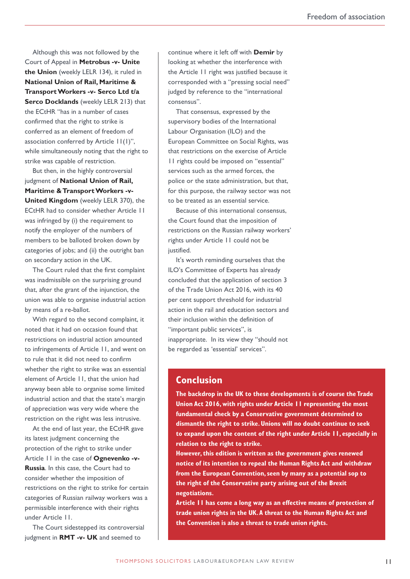Although this was not followed by the Court of Appeal in **Metrobus -v- Unite the Union** (weekly LELR 134), it ruled in **National Union of Rail, Maritime & TransportWorkers -v- Serco Ltd t/a Serco Docklands** (weekly LELR 213) that the ECtHR "has in a number of cases confirmed that the right to strike is conferred as an element of freedom of association conferred by Article 11(1)", while simultaneously noting that the right to strike was capable of restriction.

But then, in the highly controversial judgment of **National Union of Rail, Maritime & Transport Workers -v-United Kingdom** (weekly LELR 370), the ECtHR had to consider whether Article 11 was infringed by (i) the requirement to notify the employer of the numbers of members to be balloted broken down by categories of jobs; and (ii) the outright ban on secondary action in the UK.

The Court ruled that the first complaint was inadmissible on the surprising ground that, after the grant of the injunction, the union was able to organise industrial action by means of a re-ballot.

With regard to the second complaint, it noted that it had on occasion found that restrictions on industrial action amounted to infringements of Article 11, and went on to rule that it did not need to confirm whether the right to strike was an essential element of Article 11, that the union had anyway been able to organise some limited industrial action and that the state's margin of appreciation was very wide where the restriction on the right was less intrusive.

At the end of last year, the ECtHR gave its latest judgment concerning the protection of the right to strike under Article 11 in the case of **Ognevenko -v-Russia**. In this case, the Court had to consider whether the imposition of restrictions on the right to strike for certain categories of Russian railway workers was a permissible interference with their rights under Article 11.

The Court sidestepped its controversial judgment in **RMT -v- UK** and seemed to

continue where it left off with **Demir** by looking at whether the interference with the Article 11 right was justified because it corresponded with a "pressing social need" judged by reference to the "international consensus".

That consensus, expressed by the supervisory bodies of the International Labour Organisation (ILO) and the European Committee on Social Rights, was that restrictions on the exercise of Article 11 rights could be imposed on "essential" services such as the armed forces, the police or the state administration, but that, for this purpose, the railway sector was not to be treated as an essential service.

Because of this international consensus, the Court found that the imposition of restrictions on the Russian railway workers' rights under Article 11 could not be justified.

It's worth reminding ourselves that the ILO's Committee of Experts has already concluded that the application of section 3 of the Trade Union Act 2016, with its 40 per cent support threshold for industrial action in the rail and education sectors and their inclusion within the definition of "important public services", is inappropriate. In its view they "should not be regarded as 'essential' services".

#### **Conclusion**

**The backdrop in the UK to these developments is of course the Trade Union Act 2016, with rights under Article 11 representing the most fundamental check by a Conservative government determined to dismantle the right to strike.Unions will no doubt continue to seek to expand upon the content of the right under Article 11, especially in relation to the right to strike.**

**However,this edition is written as the government gives renewed notice of its intention to repeal the Human Rights Act and withdraw from the European Convention,seen by many as a potential sop to the right of the Conservative party arising out of the Brexit negotiations.**

**Article 11 has come a long way as an effective means of protection of trade union rights in the UK.A threat to the Human Rights Act and the Convention is also a threat to trade union rights.**